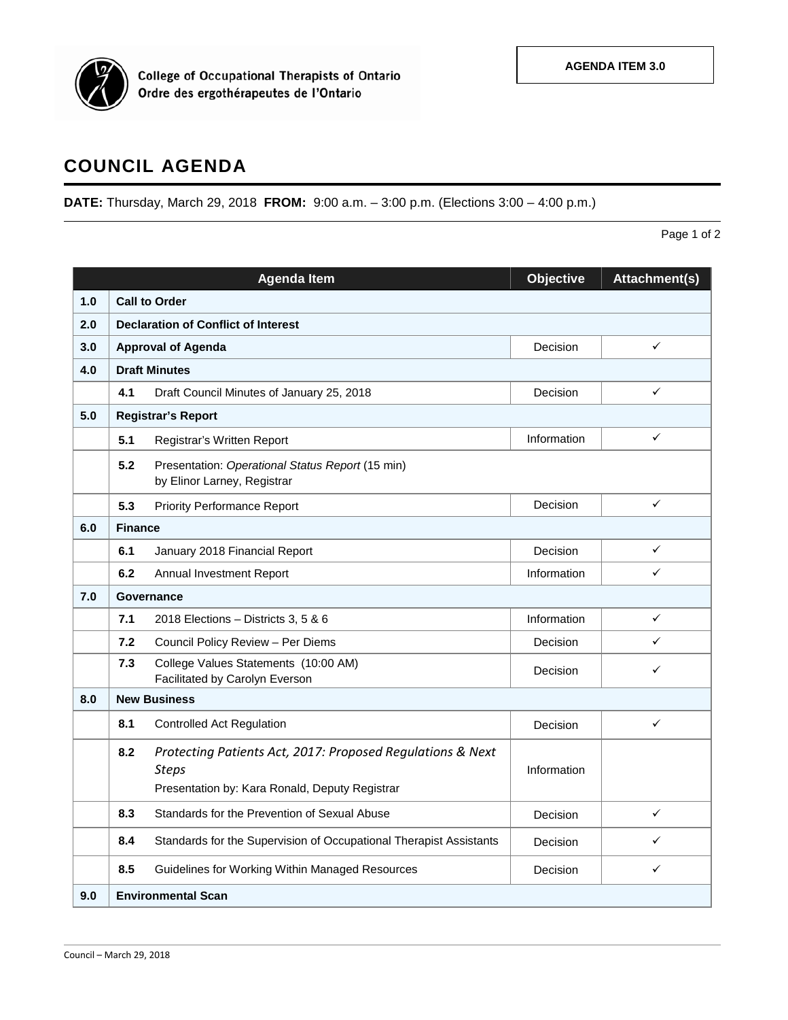

## **COUNCIL AGENDA**

**DATE:** Thursday, March 29, 2018 **FROM:** 9:00 a.m. – 3:00 p.m. (Elections 3:00 – 4:00 p.m.)

Page 1 of 2

|     |                                            | <b>Agenda Item</b>                                                                                                           | <b>Objective</b> | Attachment(s) |  |  |  |
|-----|--------------------------------------------|------------------------------------------------------------------------------------------------------------------------------|------------------|---------------|--|--|--|
| 1.0 | <b>Call to Order</b>                       |                                                                                                                              |                  |               |  |  |  |
| 2.0 | <b>Declaration of Conflict of Interest</b> |                                                                                                                              |                  |               |  |  |  |
| 3.0 | <b>Approval of Agenda</b>                  |                                                                                                                              | Decision         | ✓             |  |  |  |
| 4.0 | <b>Draft Minutes</b>                       |                                                                                                                              |                  |               |  |  |  |
|     | 4.1                                        | Draft Council Minutes of January 25, 2018                                                                                    | Decision         | ✓             |  |  |  |
| 5.0 | <b>Registrar's Report</b>                  |                                                                                                                              |                  |               |  |  |  |
|     | 5.1                                        | Registrar's Written Report                                                                                                   | Information      | ✓             |  |  |  |
|     | 5.2                                        | Presentation: Operational Status Report (15 min)<br>by Elinor Larney, Registrar                                              |                  |               |  |  |  |
|     | 5.3                                        | <b>Priority Performance Report</b>                                                                                           | Decision         | $\checkmark$  |  |  |  |
| 6.0 |                                            | <b>Finance</b>                                                                                                               |                  |               |  |  |  |
|     | 6.1                                        | January 2018 Financial Report                                                                                                | Decision         | ✓             |  |  |  |
|     | 6.2                                        | Annual Investment Report                                                                                                     | Information      | ✓             |  |  |  |
| 7.0 | Governance                                 |                                                                                                                              |                  |               |  |  |  |
|     | 7.1                                        | 2018 Elections - Districts 3, 5 & 6                                                                                          | Information      | ✓             |  |  |  |
|     | 7.2                                        | Council Policy Review - Per Diems                                                                                            | Decision         | ✓             |  |  |  |
|     | 7.3                                        | College Values Statements (10:00 AM)<br>Facilitated by Carolyn Everson                                                       | Decision         | ✓             |  |  |  |
| 8.0 | <b>New Business</b>                        |                                                                                                                              |                  |               |  |  |  |
|     | 8.1                                        | <b>Controlled Act Regulation</b>                                                                                             | Decision         | ✓             |  |  |  |
|     | 8.2                                        | Protecting Patients Act, 2017: Proposed Regulations & Next<br><b>Steps</b><br>Presentation by: Kara Ronald, Deputy Registrar | Information      |               |  |  |  |
|     | 8.3                                        | Standards for the Prevention of Sexual Abuse                                                                                 | Decision         | ✓             |  |  |  |
|     | 8.4                                        | Standards for the Supervision of Occupational Therapist Assistants                                                           | Decision         | ✓             |  |  |  |
|     | 8.5                                        | Guidelines for Working Within Managed Resources                                                                              | Decision         | ✓             |  |  |  |
| 9.0 | <b>Environmental Scan</b>                  |                                                                                                                              |                  |               |  |  |  |